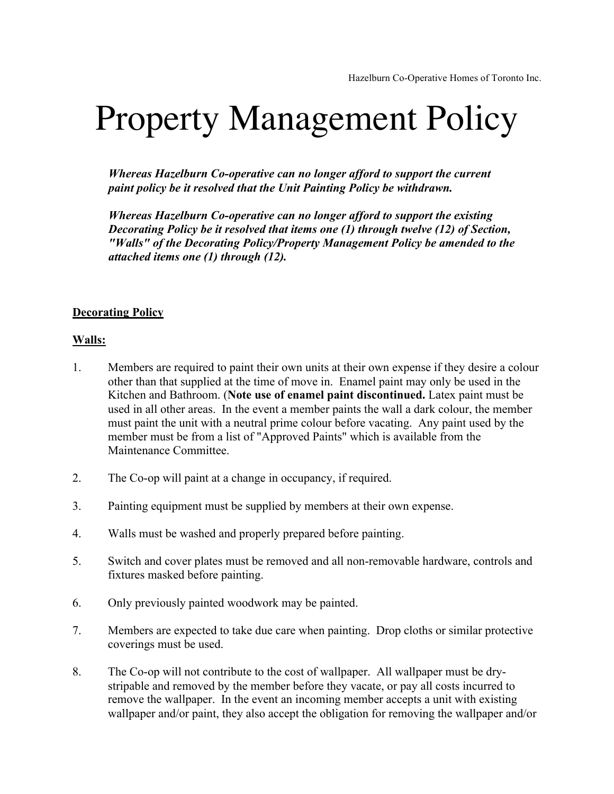## Property Management Policy

*Whereas Hazelburn Co-operative can no longer afford to support the current paint policy be it resolved that the Unit Painting Policy be withdrawn.*

*Whereas Hazelburn Co-operative can no longer afford to support the existing Decorating Policy be it resolved that items one (1) through twelve (12) of Section, "Walls" of the Decorating Policy/Property Management Policy be amended to the attached items one (1) through (12).*

## **Decorating Policy**

## **Walls:**

- 1. Members are required to paint their own units at their own expense if they desire a colour other than that supplied at the time of move in. Enamel paint may only be used in the Kitchen and Bathroom. (**Note use of enamel paint discontinued.** Latex paint must be used in all other areas. In the event a member paints the wall a dark colour, the member must paint the unit with a neutral prime colour before vacating. Any paint used by the member must be from a list of "Approved Paints" which is available from the Maintenance Committee.
- 2. The Co-op will paint at a change in occupancy, if required.
- 3. Painting equipment must be supplied by members at their own expense.
- 4. Walls must be washed and properly prepared before painting.
- 5. Switch and cover plates must be removed and all non-removable hardware, controls and fixtures masked before painting.
- 6. Only previously painted woodwork may be painted.
- 7. Members are expected to take due care when painting. Drop cloths or similar protective coverings must be used.
- 8. The Co-op will not contribute to the cost of wallpaper. All wallpaper must be drystripable and removed by the member before they vacate, or pay all costs incurred to remove the wallpaper. In the event an incoming member accepts a unit with existing wallpaper and/or paint, they also accept the obligation for removing the wallpaper and/or